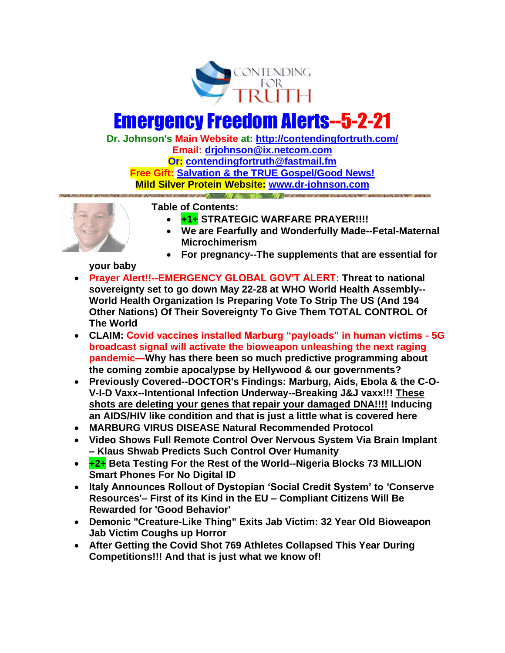

## Emergency Freedom Alerts--5-2-21

**Dr. Johnson's Main Website at:<http://contendingfortruth.com/> Email: [drjohnson@ix.netcom.com](mailto:drjohnson@ix.netcom.com) Or: [contendingfortruth@fastmail.fm](mailto:contendingfortruth@fastmail.fm) Free Gift: [Salvation & the TRUE Gospel/Good News!](http://www.contendingfortruth.com/true-salvation/) Mild Silver Protein Website: [www.dr-johnson.com](http://www.dr-johnson.com/)**



**Table of Contents:** 

- **+1+ STRATEGIC WARFARE PRAYER!!!!**
- **We are Fearfully and Wonderfully Made--Fetal-Maternal Microchimerism**
- **For pregnancy--The supplements that are essential for**

**your baby**

- **Prayer Alert!!--EMERGENCY GLOBAL GOV'T ALERT: Threat to national sovereignty set to go down May 22-28 at WHO World Health Assembly-- World Health Organization Is Preparing Vote To Strip The US (And 194 Other Nations) Of Their Sovereignty To Give Them TOTAL CONTROL Of The World**
- **CLAIM: Covid vaccines installed Marburg "payloads" in human victims - 5G broadcast signal will activate the bioweapon unleashing the next raging pandemic—Why has there been so much predictive programming about the coming zombie apocalypse by Hellywood & our governments?**
- **Previously Covered--DOCTOR's Findings: Marburg, Aids, Ebola & the C-O-V-I-D Vaxx--Intentional Infection Underway--Breaking J&J vaxx!!! These shots are deleting your genes that repair your damaged DNA!!!! Inducing an AIDS/HIV like condition and that is just a little what is covered here**
- **MARBURG VIRUS DISEASE Natural Recommended Protocol**
- **Video Shows Full Remote Control Over Nervous System Via Brain Implant – Klaus Shwab Predicts Such Control Over Humanity**
- **+2+ Beta Testing For the Rest of the World--Nigeria Blocks 73 MILLION Smart Phones For No Digital ID**
- **Italy Announces Rollout of Dystopian 'Social Credit System' to 'Conserve Resources'– First of its Kind in the EU – Compliant Citizens Will Be Rewarded for 'Good Behavior'**
- **Demonic "Creature-Like Thing" Exits Jab Victim: 32 Year Old Bioweapon Jab Victim Coughs up Horror**
- **After Getting the Covid Shot 769 Athletes Collapsed This Year During Competitions!!! And that is just what we know of!**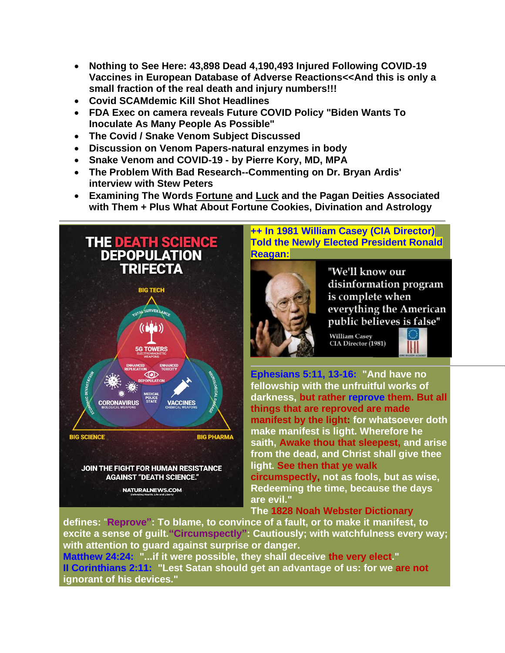- **Nothing to See Here: 43,898 Dead 4,190,493 Injured Following COVID-19 Vaccines in European Database of Adverse Reactions<<And this is only a small fraction of the real death and injury numbers!!!**
- **Covid SCAMdemic Kill Shot Headlines**
- **FDA Exec on camera reveals Future COVID Policy "Biden Wants To Inoculate As Many People As Possible"**
- **The Covid / Snake Venom Subject Discussed**
- **Discussion on Venom Papers-natural enzymes in body**
- **Snake Venom and COVID-19 - by Pierre Kory, MD, MPA**
- **[The Problem With Bad Research-](https://email.mg2.substack.com/c/eJxVkk2P4jAMhn8NvYGaj0I59AAD7HR3C5oRYmEuVZoYmqVNuklKJ_z6DcNlV7KdyJZt6X3MmYOLNj7rtHXRI5TOd5ApGGwDzoGJegumlCKj8xkiCJMofAVKkzSStjwbgJbJJnOmh6jrq0Zy5qRWj44ZRjglUZ0BmtIEJymZcsYRCA6cnDEDQhJMMdDnYtYLCYpDBjcwXiuImqx2rrMjshjhTbCOOSP5ddBaTGxfWcf4dcJ1-ygFdzWMO6OrBtrxIF09rpgYG7DADK9HZOP0FdSIrMB_Rxwf_BE31_y3jnd7_lnc177wg-Tf5nexmXcfL_l0u8_9bsWH4DZvm1qEXLE_oWK1QMX9RIuXQbLj9h5mSP56kD_33Bf7nBY-t7naopPMp7la3jh5c7w91Cfy3lWYyvPbhGz726tQu4bJxfK9KX9s-z9aHuFu0w_6Oazp-tAs88un_2UjmeEY45iiBMeIknhCJkFYfg7aUjEXVYrxiMbtBf-nSWSyRhthr1I8qlZ9JQOhMrxtr6TzJSgWxBJPeO55A184ywsoMOE2RMlchqZJHCdkmqIkmT1ZBboJxuksTmdR2Cp06FLZP3z-AuUazHc)-Commenting on Dr. Bryan Ardis' interview with Stew Peters**
- **Examining The Words Fortune and Luck and the Pagan Deities Associated with Them + Plus What About Fortune Cookies, Divination and Astrology**



**++ In 1981 William Casey (CIA Director) Told the Newly Elected President Ronald Reagan:**



"We'll know our disinformation program is complete when everything the American public believes is false"

William Casey<br>CIA Director (1981)



**Ephesians 5:11, 13-16: "And have no fellowship with the unfruitful works of darkness, but rather reprove them. But all things that are reproved are made manifest by the light: for whatsoever doth make manifest is light. Wherefore he saith, Awake thou that sleepest, and arise from the dead, and Christ shall give thee light. See then that ye walk circumspectly, not as fools, but as wise, Redeeming the time, because the days are evil."** 

## **The 1828 Noah Webster Dictionary**

**defines:** "**Reprove": To blame, to convince of a fault, or to make it manifest, to excite a sense of guilt."Circumspectly": Cautiously; with watchfulness every way; with attention to guard against surprise or danger.**

**Matthew 24:24: "...if it were possible, they shall deceive the very elect." II Corinthians 2:11: "Lest Satan should get an advantage of us: for we are not ignorant of his devices."**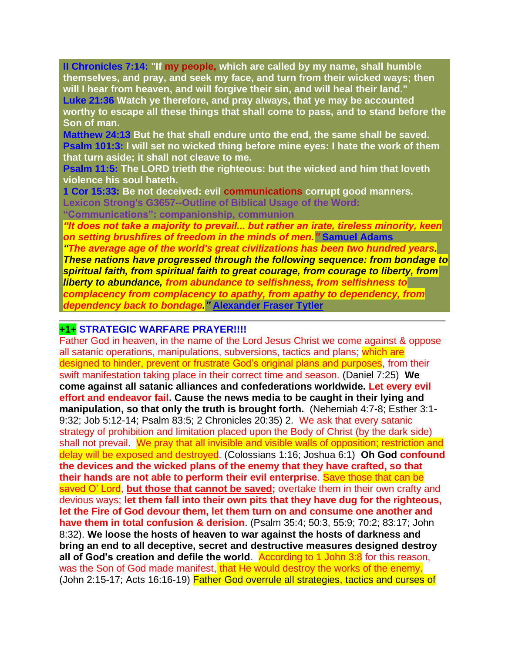**II Chronicles 7:14: "If my people, which are called by my name, shall humble themselves, and pray, and seek my face, and turn from their wicked ways; then will I hear from heaven, and will forgive their sin, and will heal their land." Luke 21:36 Watch ye therefore, and pray always, that ye may be accounted worthy to escape all these things that shall come to pass, and to stand before the Son of man.**

**Matthew 24:13 But he that shall endure unto the end, the same shall be saved. Psalm 101:3: I will set no wicked thing before mine eyes: I hate the work of them that turn aside; it shall not cleave to me.**

**Psalm 11:5: The LORD trieth the righteous: but the wicked and him that loveth violence his soul hateth.**

**1 Cor 15:33: Be not deceived: evil communications corrupt good manners. Lexicon Strong's G3657--Outline of Biblical Usage of the Word: "Communications": companionship, communion**

*"It does not take a majority to prevail... but rather an irate, tireless minority, keen on setting brushfires of freedom in the minds of men."* **Samuel Adams** 

*"The average age of the world's great civilizations has been two hundred years. These nations have progressed through the following sequence: from bondage to spiritual faith, from spiritual faith to great courage, from courage to liberty, from liberty to abundance, from abundance to selfishness, from selfishness to complacency from complacency to apathy, from apathy to dependency, from dependency back to bondage."* **[Alexander Fraser Tytler](https://www.azquotes.com/author/20531-Alexander_Fraser_Tytler)**

## **+1+ STRATEGIC WARFARE PRAYER!!!!**

Father God in heaven, in the name of the Lord Jesus Christ we come against & oppose all satanic operations, manipulations, subversions, tactics and plans; which are designed to hinder, prevent or frustrate God's original plans and purposes, from their swift manifestation taking place in their correct time and season. (Daniel 7:25) **We come against all satanic alliances and confederations worldwide. Let every evil effort and endeavor fail. Cause the news media to be caught in their lying and manipulation, so that only the truth is brought forth.** (Nehemiah 4:7-8; Esther 3:1- 9:32; Job 5:12-14; Psalm 83:5; 2 Chronicles 20:35) 2. We ask that every satanic strategy of prohibition and limitation placed upon the Body of Christ (by the dark side) shall not prevail. We pray that all invisible and visible walls of opposition; restriction and delay will be exposed and destroyed. (Colossians 1:16; Joshua 6:1) **Oh God confound the devices and the wicked plans of the enemy that they have crafted, so that their hands are not able to perform their evil enterprise**. Save those that can be saved O' Lord, **but those that cannot be saved;** overtake them in their own crafty and devious ways; **let them fall into their own pits that they have dug for the righteous, let the Fire of God devour them, let them turn on and consume one another and have them in total confusion & derision**. (Psalm 35:4; 50:3, 55:9; 70:2; 83:17; John 8:32). **We loose the hosts of heaven to war against the hosts of darkness and bring an end to all deceptive, secret and destructive measures designed destroy all of God's creation and defile the world.** According to 1 John 3:8 for this reason, was the Son of God made manifest, that He would destroy the works of the enemy. (John 2:15-17; Acts 16:16-19) Father God overrule all strategies, tactics and curses of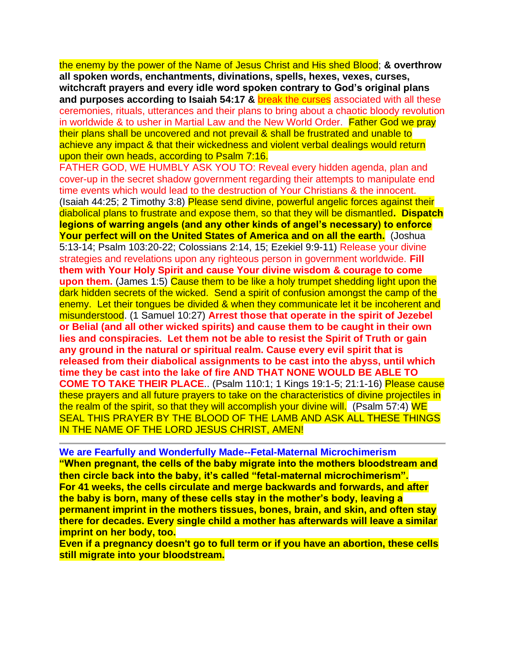the enemy by the power of the Name of Jesus Christ and His shed Blood; **& overthrow all spoken words, enchantments, divinations, spells, hexes, vexes, curses, witchcraft prayers and every idle word spoken contrary to God's original plans and purposes according to Isaiah 54:17 &** break the curses associated with all these ceremonies, rituals, utterances and their plans to bring about a chaotic bloody revolution in worldwide & to usher in Martial Law and the New World Order. Father God we pray their plans shall be uncovered and not prevail & shall be frustrated and unable to achieve any impact & that their wickedness and violent verbal dealings would return upon their own heads, according to Psalm 7:16.

FATHER GOD, WE HUMBLY ASK YOU TO: Reveal every hidden agenda, plan and cover-up in the secret shadow government regarding their attempts to manipulate end time events which would lead to the destruction of Your Christians & the innocent. (Isaiah 44:25; 2 Timothy 3:8) Please send divine, powerful angelic forces against their diabolical plans to frustrate and expose them, so that they will be dismantled**. Dispatch legions of warring angels (and any other kinds of angel's necessary) to enforce Your perfect will on the United States of America and on all the earth.** (Joshua 5:13-14; Psalm 103:20-22; Colossians 2:14, 15; Ezekiel 9:9-11) Release your divine strategies and revelations upon any righteous person in government worldwide. **Fill them with Your Holy Spirit and cause Your divine wisdom & courage to come upon them.** (James 1:5) Cause them to be like a holy trumpet shedding light upon the dark hidden secrets of the wicked. Send a spirit of confusion amongst the camp of the enemy. Let their tongues be divided & when they communicate let it be incoherent and misunderstood. (1 Samuel 10:27) **Arrest those that operate in the spirit of Jezebel or Belial (and all other wicked spirits) and cause them to be caught in their own lies and conspiracies. Let them not be able to resist the Spirit of Truth or gain any ground in the natural or spiritual realm. Cause every evil spirit that is released from their diabolical assignments to be cast into the abyss, until which time they be cast into the lake of fire AND THAT NONE WOULD BE ABLE TO COME TO TAKE THEIR PLACE**.. (Psalm 110:1; 1 Kings 19:1-5; 21:1-16) Please cause these prayers and all future prayers to take on the characteristics of divine projectiles in the realm of the spirit, so that they will accomplish your divine will. (Psalm 57:4) WE SEAL THIS PRAYER BY THE BLOOD OF THE LAMB AND ASK ALL THESE THINGS IN THE NAME OF THE LORD JESUS CHRIST, AMEN!

**We are Fearfully and Wonderfully Made--Fetal-Maternal Microchimerism "When pregnant, the cells of the baby migrate into the mothers bloodstream and then circle back into the baby, it's called "fetal-maternal microchimerism". For 41 weeks, the cells circulate and merge backwards and forwards, and after the baby is born, many of these cells stay in the mother's body, leaving a permanent imprint in the mothers tissues, bones, brain, and skin, and often stay there for decades. Every single child a mother has afterwards will leave a similar imprint on her body, too.**

**Even if a pregnancy doesn't go to full term or if you have an abortion, these cells still migrate into your bloodstream.**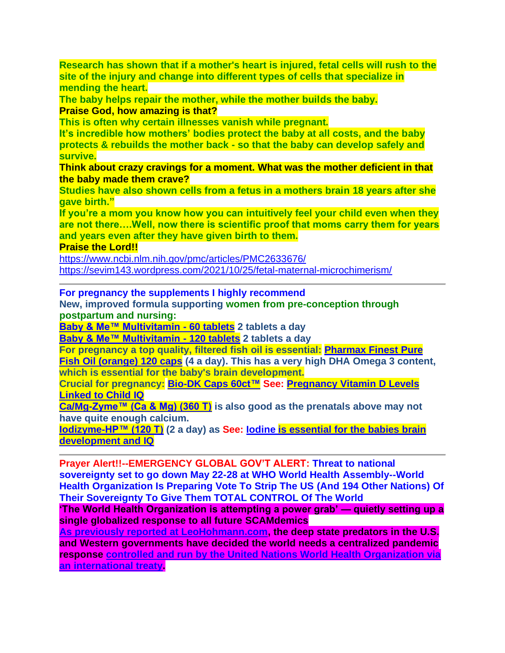**Research has shown that if a mother's heart is injured, fetal cells will rush to the site of the injury and change into different types of cells that specialize in mending the heart.**

**The baby helps repair the mother, while the mother builds the baby. Praise God, how amazing is that?**

**This is often why certain illnesses vanish while pregnant.**

**It's incredible how mothers' bodies protect the baby at all costs, and the baby protects & rebuilds the mother back - so that the baby can develop safely and survive.**

**Think about crazy cravings for a moment. What was the mother deficient in that the baby made them crave?**

**Studies have also shown cells from a fetus in a mothers brain 18 years after she gave birth."**

**If you're a mom you know how you can intuitively feel your child even when they are not there….Well, now there is scientific proof that moms carry them for years and years even after they have given birth to them.**

**Praise the Lord!!**

<https://www.ncbi.nlm.nih.gov/pmc/articles/PMC2633676/> <https://sevim143.wordpress.com/2021/10/25/fetal-maternal-microchimerism/>

**For pregnancy the supplements I highly recommend**

**New, improved formula supporting women from pre-conception through postpartum and nursing:**

**[Baby & Me™ Multivitamin -](http://www.innateresponse.com/product-p/40174.htm) 60 tablets 2 tablets a day**

**[Baby & Me™ Multivitamin -](http://www.innateresponse.com/product-p/40156.htm) 120 tablets 2 tablets a day**

**For pregnancy a top quality, filtered fish oil is essential: [Pharmax Finest](https://anovahealth.com/pharmax-finest-pure-fish-oil-orange-120-soft-gels/) Pure** 

**[Fish Oil \(orange\) 120 caps](https://anovahealth.com/pharmax-finest-pure-fish-oil-orange-120-soft-gels/) (4 a day). This has a very high DHA Omega 3 content, which is essential for the baby's brain development.**

**Crucial for pregnancy: [Bio-DK Caps 60ct™](https://www.bioticsresearch.com/products/bio-dk-caps%E2%84%A2) See: [Pregnancy Vitamin D Levels](https://info.bioticsresearch.com/researchforum/pregnancy-vitamin-d-levels-linked-to-child-iq)  [Linked to Child IQ](https://info.bioticsresearch.com/researchforum/pregnancy-vitamin-d-levels-linked-to-child-iq)**

**[Ca/Mg-Zyme™ \(Ca & Mg\) \(360 T\)](https://www.bioticsresearch.com/node/1679) is also good as the prenatals above may not have quite enough calcium.** 

**[Iodizyme-HP™ \(120 T\)](http://www.bioticsresearch.com/node/2773) (2 a day) as See: [Iodine is essential for the babies brain](https://www.thyroid.org/patient-thyroid-information/ct-for-patients/december-2018/vol-11-issue-12-p-5-6/)  [development and IQ](https://www.thyroid.org/patient-thyroid-information/ct-for-patients/december-2018/vol-11-issue-12-p-5-6/)**

**Prayer Alert!!--EMERGENCY GLOBAL GOV'T ALERT: Threat to national sovereignty set to go down May 22-28 at WHO World Health Assembly--World Health Organization Is Preparing Vote To Strip The US (And 194 Other Nations) Of Their Sovereignty To Give Them TOTAL CONTROL Of The World**

**'The World Health Organization is attempting a power grab' — quietly setting up a single globalized response to all future SCAMdemics**

**[As previously reported at LeoHohmann.com,](https://leohohmann.com/2021/04/01/globalists-solution-to-pandemic-a-new-treaty-that-would-essentially-create-a-world-government/) the deep state predators in the U.S. and Western governments have decided the world needs a centralized pandemic response [controlled and run by the United Nations World Health Organization via](https://www.who.int/news/item/01-12-2021-world-health-assembly-agrees-to-launch-process-to-develop-historic-global-accord-on-pandemic-prevention-preparedness-and-response)  [an international treaty.](https://www.who.int/news/item/01-12-2021-world-health-assembly-agrees-to-launch-process-to-develop-historic-global-accord-on-pandemic-prevention-preparedness-and-response)**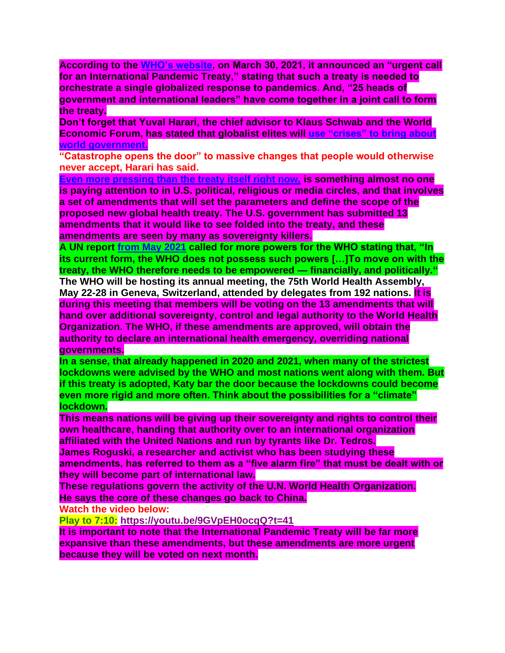**According to the [WHO's website,](https://www.who.int/news/item/30-03-2021-global-leaders-unite-in-urgent-call-for-international-pandemic-treaty) on March 30, 2021, it announced an "urgent call for an International Pandemic Treaty," stating that such a treaty is needed to orchestrate a single globalized response to pandemics. And, "25 heads of government and international leaders" have come together in a joint call to form the treaty.**

**Don't forget that Yuval Harari, the chief advisor to Klaus Schwab and the World Economic Forum, has stated that globalist elites will [use "crises" to bring about](https://leohohmann.com/2022/03/15/who-influences-the-influencers-meet-klaus-schwabs-chief-adviser/)  [world government.](https://leohohmann.com/2022/03/15/who-influences-the-influencers-meet-klaus-schwabs-chief-adviser/)**

**"Catastrophe opens the door" to massive changes that people would otherwise never accept, Harari has said.**

**[Even more pressing than the treaty itself right now,](http://dontyoudare.info/) is something almost no one is paying attention to in U.S. political, religious or media circles, and that involves a set of amendments that will set the parameters and define the scope of the proposed new global health treaty. The U.S. government has submitted 13 amendments that it would like to see folded into the treaty, and these amendments are seen by many as sovereignty killers.**

**A UN report [from May 2021](https://off-guardian.org/2021/05/12/un-report-pushes-global-government-to-prevent-future-pandemics/) called for more powers for the WHO stating that, "In its current form, the WHO does not possess such powers […]To move on with the treaty, the WHO therefore needs to be empowered — financially, and politically."**

**The WHO will be hosting its annual meeting, the 75th World Health Assembly, May 22-28 in Geneva, Switzerland, attended by delegates from 192 nations. It is during this meeting that members will be voting on the 13 amendments that will hand over additional sovereignty, control and legal authority to the World Health Organization. The WHO, if these amendments are approved, will obtain the authority to declare an international health emergency, overriding national governments.**

**In a sense, that already happened in 2020 and 2021, when many of the strictest lockdowns were advised by the WHO and most nations went along with them. But if this treaty is adopted, Katy bar the door because the lockdowns could become even more rigid and more often. Think about the possibilities for a "climate" lockdown.**

**This means nations will be giving up their sovereignty and rights to control their own healthcare, handing that authority over to an international organization affiliated with the United Nations and run by tyrants like Dr. Tedros. James Roguski, a researcher and activist who has been studying these** 

**amendments, has referred to them as a "five alarm fire" that must be dealt with or they will become part of international law.**

**These regulations govern the activity of the U.N. World Health Organization. He says the core of these changes go back to China.**

**Watch the video below:**

**Play to 7:10: <https://youtu.be/9GVpEH0ocqQ?t=41>**

**It is important to note that the International Pandemic Treaty will be far more expansive than these amendments, but these amendments are more urgent because they will be voted on next month.**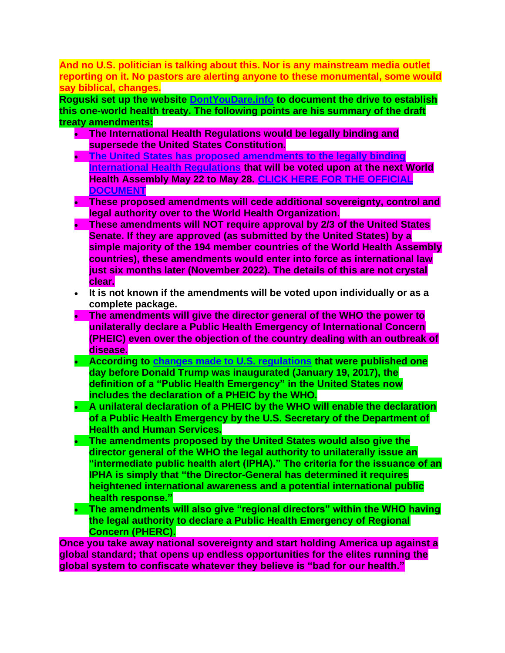**And no U.S. politician is talking about this. Nor is any mainstream media outlet reporting on it. No pastors are alerting anyone to these monumental, some would say biblical, changes.**

**Roguski set up the website [DontYouDare.info](http://dontyoudare.info/) to document the drive to establish this one-world health treaty. The following points are his summary of the draft treaty amendments:**

- **The International Health Regulations would be legally binding and supersede the United States Constitution.**
- **[The United States has proposed amendments to the legally binding](https://healthpolicy-watch.news/wp-content/uploads/2022/02/C.L.2.2022-IHR-amendments-English.pdf)  [International Health Regulations](https://healthpolicy-watch.news/wp-content/uploads/2022/02/C.L.2.2022-IHR-amendments-English.pdf) that will be voted upon at the next World Health Assembly May 22 to May 28. [CLICK HERE FOR THE OFFICIAL](https://apps.who.int/gb/ebwha/pdf_files/WHA75/A75_18-en.pdf)  [DOCUMENT](https://apps.who.int/gb/ebwha/pdf_files/WHA75/A75_18-en.pdf)**
- **These proposed amendments will cede additional sovereignty, control and legal authority over to the World Health Organization.**
- **These amendments will NOT require approval by 2/3 of the United States Senate. If they are approved (as submitted by the United States) by a simple majority of the 194 member countries of the World Health Assembly countries), these amendments would enter into force as international law just six months later (November 2022). The details of this are not crystal clear.**
- **It is not known if the amendments will be voted upon individually or as a complete package.**
- **The amendments will give the director general of the WHO the power to unilaterally declare a Public Health Emergency of International Concern (PHEIC) even over the objection of the country dealing with an outbreak of disease.**
- **According to [changes made to U.S. regulations](https://www.govinfo.gov/content/pkg/FR-2017-01-19/pdf/2017-00615.pdf) that were published one day before Donald Trump was inaugurated (January 19, 2017), the definition of a "Public Health Emergency" in the United States now includes the declaration of a PHEIC by the WHO.**
- **A unilateral declaration of a PHEIC by the WHO will enable the declaration of a Public Health Emergency by the U.S. Secretary of the Department of Health and Human Services.**
- **The amendments proposed by the United States would also give the director general of the WHO the legal authority to unilaterally issue an "intermediate public health alert (IPHA)." The criteria for the issuance of an IPHA is simply that "the Director-General has determined it requires heightened international awareness and a potential international public health response."**
- **The amendments will also give "regional directors" within the WHO having the legal authority to declare a Public Health Emergency of Regional Concern (PHERC).**

**Once you take away national sovereignty and start holding America up against a global standard; that opens up endless opportunities for the elites running the global system to confiscate whatever they believe is "bad for our health."**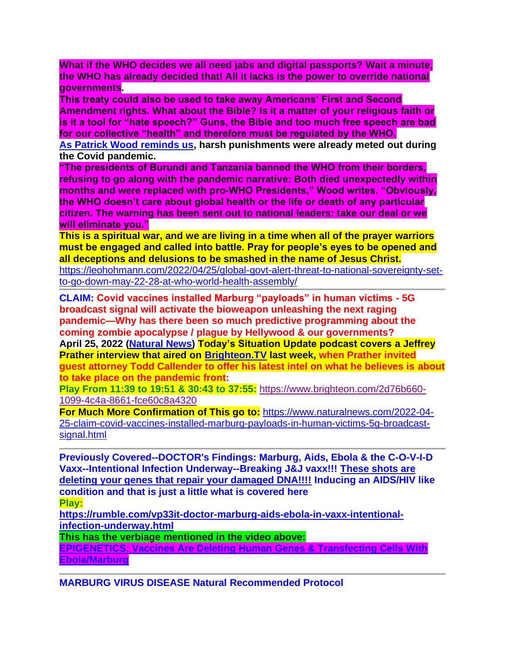**What if the WHO decides we all need jabs and digital passports? Wait a minute, the WHO has already decided that! All it lacks is the power to override national governments.**

**This treaty could also be used to take away Americans' First and Second Amendment rights. What about the Bible? Is it a matter of your religious faith or is it a tool for "hate speech?" Guns, the Bible and too much free speech are bad for our collective "health" and therefore must be regulated by the WHO.**

**[As Patrick Wood reminds us,](https://www.technocracy.news/proposed-pandemic-treaty-sets-the-who-up-for-technocratic-globalism/) harsh punishments were already meted out during the Covid pandemic.**

**"The presidents of Burundi and Tanzania banned the WHO from their borders, refusing to go along with the pandemic narrative: Both died unexpectedly within months and were replaced with pro-WHO Presidents," Wood writes. "Obviously, the WHO doesn't care about global health or the life or death of any particular citizen. The warning has been sent out to national leaders: take our deal or we will eliminate you."**

**This is a spiritual war, and we are living in a time when all of the prayer warriors must be engaged and called into battle. Pray for people's eyes to be opened and all deceptions and delusions to be smashed in the name of Jesus Christ.**

[https://leohohmann.com/2022/04/25/global-govt-alert-threat-to-national-sovereignty-set](https://leohohmann.com/2022/04/25/global-govt-alert-threat-to-national-sovereignty-set-to-go-down-may-22-28-at-who-world-health-assembly/)[to-go-down-may-22-28-at-who-world-health-assembly/](https://leohohmann.com/2022/04/25/global-govt-alert-threat-to-national-sovereignty-set-to-go-down-may-22-28-at-who-world-health-assembly/)

**CLAIM: Covid vaccines installed Marburg "payloads" in human victims - 5G broadcast signal will activate the bioweapon unleashing the next raging pandemic—Why has there been so much predictive programming about the coming zombie apocalypse / plague by Hellywood & our governments? April 25, 2022 [\(Natural News\)](https://www.naturalnews.com/) Today's Situation Update podcast covers a Jeffrey Prather interview that aired on [Brighteon.TV](http://brighteon.tv/) last week, when Prather invited guest attorney Todd Callender to offer his latest intel on what he believes is about to take place on the pandemic front:**

**Play From 11:39 to 19:51 & 30:43 to 37:55:** [https://www.brighteon.com/2d76b660-](https://www.brighteon.com/2d76b660-1099-4c4a-8661-fce60c8a4320) [1099-4c4a-8661-fce60c8a4320](https://www.brighteon.com/2d76b660-1099-4c4a-8661-fce60c8a4320)

**For Much More Confirmation of This go to:** [https://www.naturalnews.com/2022-04-](https://www.naturalnews.com/2022-04-25-claim-covid-vaccines-installed-marburg-payloads-in-human-victims-5g-broadcast-signal.html) [25-claim-covid-vaccines-installed-marburg-payloads-in-human-victims-5g-broadcast](https://www.naturalnews.com/2022-04-25-claim-covid-vaccines-installed-marburg-payloads-in-human-victims-5g-broadcast-signal.html)[signal.html](https://www.naturalnews.com/2022-04-25-claim-covid-vaccines-installed-marburg-payloads-in-human-victims-5g-broadcast-signal.html)

**Previously Covered--DOCTOR's Findings: Marburg, Aids, Ebola & the C-O-V-I-D Vaxx--Intentional Infection Underway--Breaking J&J vaxx!!! These shots are deleting your genes that repair your damaged DNA!!!! Inducing an AIDS/HIV like condition and that is just a little what is covered here Play:**

**[https://rumble.com/vp33it-doctor-marburg-aids-ebola-in-vaxx-intentional](https://rumble.com/vp33it-doctor-marburg-aids-ebola-in-vaxx-intentional-infection-underway.html)[infection-underway.html](https://rumble.com/vp33it-doctor-marburg-aids-ebola-in-vaxx-intentional-infection-underway.html)**

**This has the verbiage mentioned in the video above:**

**[EPIGENETICS: Vaccines Are Deleting Human Genes & Transfecting Cells With](https://www.redvoicemedia.com/2021/11/epigenetics-vaccines-are-deleting-human-genes-transfecting-cells-with-ebola-marburg/)  [Ebola/Marburg](https://www.redvoicemedia.com/2021/11/epigenetics-vaccines-are-deleting-human-genes-transfecting-cells-with-ebola-marburg/)** 

**MARBURG VIRUS DISEASE Natural Recommended Protocol**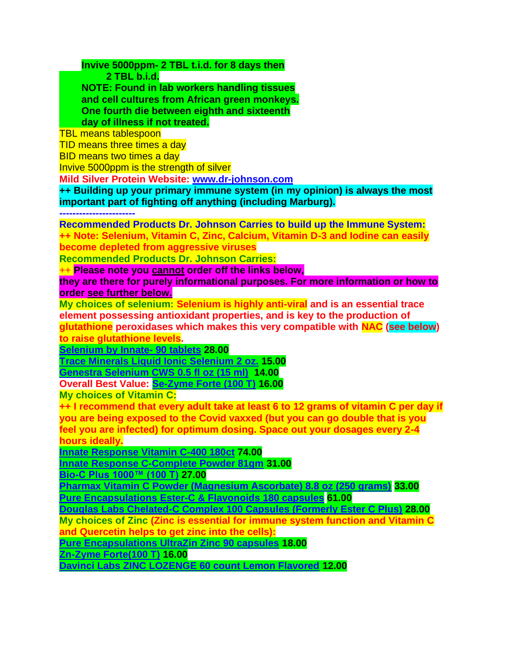**Invive 5000ppm- 2 TBL t.i.d. for 8 days then**

 **2 TBL b.i.d.**

 **NOTE: Found in lab workers handling tissues and cell cultures from African green monkeys. One fourth die between eighth and sixteenth day of illness if not treated.**

TBL means tablespoon

TID means three times a day

BID means two times a day

Invive 5000ppm is the strength of silver

**Mild Silver Protein Website: [www.dr-johnson.com](http://www.dr-johnson.com/)**

**++ Building up your primary immune system (in my opinion) is always the most important part of fighting off anything (including Marburg).**

**-----------------------**

**Recommended Products Dr. Johnson Carries to build up the Immune System: ++ Note: Selenium, Vitamin C, Zinc, Calcium, Vitamin D-3 and Iodine can easily become depleted from aggressive viruses**

**Recommended Products Dr. Johnson Carries:** 

++ **Please note you cannot order off the links below,** 

**they are there for purely informational purposes. For more information or how to order see further below.**

**My choices of selenium: Selenium is highly anti-viral and is an essential trace element possessing antioxidant properties, and is key to the production of glutathione peroxidases which makes this very compatible with NAC (see below) to raise glutathione levels.**

**[Selenium by Innate-](https://anovahealth.com/vitamin/minerals/innate-response-selenium-90-tablet/) 90 tablets 28.00**

**[Trace Minerals Liquid Ionic Selenium 2 oz.](https://anovahealth.com/trace-minerals-liquid-ionic-selenium-2-oz/) 15.00**

**[Genestra Selenium CWS 0.5 fl oz \(15 ml\)](https://anovahealth.com/genestra-selenium-cws-0-5-fl-oz-15-ml/) 14.00**

**Overall Best Value: [Se-Zyme Forte \(100 T\)](https://www.bioticsresearch.com/node/1702) 16.00**

**My choices of Vitamin C:**

**++ I recommend that every adult take at least 6 to 12 grams of vitamin C per day if you are being exposed to the Covid vaxxed (but you can go double that is you feel you are infected) for optimum dosing. Space out your dosages every 2-4 hours ideally.**

**[Innate Response Vitamin C-400 180ct](https://anovahealth.com/vitamin/minerals/innate-response-vitamin-c-400-180-count-tablet/) 74.00**

**[Innate Response C-Complete Powder 81gm](https://anovahealth.com/vitamin/minerals/innate-response-c-complete-powder-81-gm/) 31.00**

**[Bio-C Plus 1000™ \(100 T\)](https://www.bioticsresearch.com/node/1511) 27.00**

**[Pharmax Vitamin C Powder \(Magnesium Ascorbate\) 8.8 oz \(250 grams\)](https://anovahealth.com/pharmax-vitamin-c-powder-magnesium-ascorbate-8-8-oz-250-grams/) 33.00 [Pure Encapsulations Ester-C & Flavonoids 180 capsules](https://anovahealth.com/pure-encapsulations-ester-c-flavonoids-180-capsules/) 61.00**

**[Douglas Labs Chelated-C Complex 100 Capsules \(Formerly Ester C Plus\)](https://anovahealth.com/douglas-labs-ester-c-complex-500-mg-100-capsules/) 28.00**

**My choices of Zinc (Zinc is essential for immune system function and Vitamin C and Quercetin helps to get zinc into the cells):**

**[Pure Encapsulations UltraZin Zinc 90 capsules](https://anovahealth.com/pure-encapsulations-ultrazin-zinc-90-capsules/) 18.00**

**[Zn-Zyme Forte\(100 T\)](https://shop.bioticsresearch.com/products/zn-zyme-forte) 16.00**

**[Davinci Labs ZINC LOZENGE 60 count Lemon Flavored](https://anovahealth.com/davinci-labs-zinc-lozenge-60-count-lemon-flavored/) 12.00**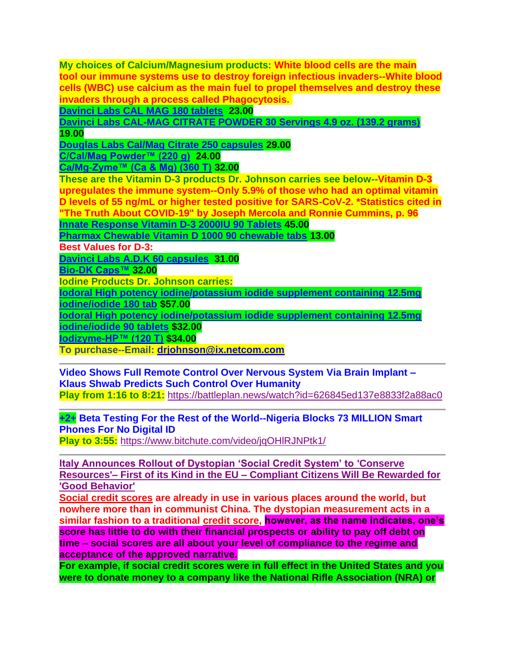**My choices of Calcium/Magnesium products: White blood cells are the main tool our immune systems use to destroy foreign infectious invaders--White blood cells (WBC) use calcium as the main fuel to propel themselves and destroy these invaders through a process called Phagocytosis.**

**[Davinci Labs CAL MAG 180 tablets](https://anovahealth.com/davinci-labs-cal-mag-180-tablets/) 23.00**

**[Davinci Labs CAL-MAG CITRATE POWDER 30 Servings 4.9 oz. \(139.2 grams\)](https://anovahealth.com/davinci-labs-cal-mag-citrate-powder-30-servings-4-9-oz-139-2-grams/) 19.00**

**[Douglas Labs Cal/Mag Citrate 250 capsules](https://anovahealth.com/douglas-labs-cal-mag-citrate-250-capsules/) 29.00**

**[C/Cal/Mag Powder™ \(220 g\)](https://www.bioticsresearch.com/node/1669) 24.00**

**[Ca/Mg-Zyme™ \(Ca & Mg\) \(360 T\)](https://www.bioticsresearch.com/node/1679) 32.00**

**These are the Vitamin D-3 products Dr. Johnson carries see below--Vitamin D-3 upregulates the immune system--Only 5.9% of those who had an optimal vitamin D levels of 55 ng/mL or higher tested positive for SARS-CoV-2. \*Statistics cited in "The Truth About COVID-19" by Joseph Mercola and Ronnie Cummins, p. 96**

**[Innate Response Vitamin D-3 2000IU 90 Tablets](https://anovahealth.com/vitamin/minerals/innate-response-vitamin-d-3-2000iu-90-tablets/) 45.00**

**[Pharmax Chewable Vitamin D 1000 90 chewable tabs](https://anovahealth.com/pharmax-chewable-vitamin-d-1000-90-chewable-tabs/) 13.00**

**Best Values for D-3:**

**[Davinci Labs A.D.K 60 capsules](https://anovahealth.com/davinci-labs-a-d-k-60-capsules/) 31.00**

**[Bio-DK Caps™](https://www.bioticsresearch.com/products/bio-dk-caps%E2%84%A2) 32.00**

**Iodine Products Dr. Johnson carries:**

**[Iodoral High potency iodine/potassium iodide supplement containing 12.5mg](https://anovahealth.com/vitamin/minerals/iodoral-high-potency-iodine-potassium-iodide-supplement-containing-12-5mg-iodine-iodide-180-tab/)** 

**[iodine/iodide 180 tab](https://anovahealth.com/vitamin/minerals/iodoral-high-potency-iodine-potassium-iodide-supplement-containing-12-5mg-iodine-iodide-180-tab/) \$57.00**

**[Iodoral High potency iodine/potassium iodide supplement containing 12.5mg](https://anovahealth.com/iodoral-high-potency-iodine-potassium-iodide-supplement-containing-12-5mg-iodine-iodide-90-tablets/)** 

**[iodine/iodide 90 tablets](https://anovahealth.com/iodoral-high-potency-iodine-potassium-iodide-supplement-containing-12-5mg-iodine-iodide-90-tablets/) \$32.00**

**[Iodizyme-HP™ \(120 T\)](http://www.bioticsresearch.com/node/2773) \$34.00**

**To purchase--Email: [drjohnson@ix.netcom.com](mailto:drjohnson@ix.netcom.com)**

**Video Shows Full Remote Control Over Nervous System Via Brain Implant – Klaus Shwab Predicts Such Control Over Humanity Play from 1:16 to 8:21:** <https://battleplan.news/watch?id=626845ed137e8833f2a88ac0>

**+2+ Beta Testing For the Rest of the World--Nigeria Blocks 73 MILLION Smart Phones For No Digital ID**

**Play to 3:55:** <https://www.bitchute.com/video/jqOHlRJNPtk1/>

**[Italy Announces Rollout of Dystopian 'Social Credit System' to](https://www.thegatewaypundit.com/2022/04/italy-announces-rollout-dystopian-social-credit-system-conserve-resources-first-kind-eu-compliant-citizens-will-rewarded-good-behavior/) 'Conserve Resources'– First of its Kind in the EU – [Compliant Citizens Will Be Rewarded for](https://www.thegatewaypundit.com/2022/04/italy-announces-rollout-dystopian-social-credit-system-conserve-resources-first-kind-eu-compliant-citizens-will-rewarded-good-behavior/)  ['Good Behavior'](https://www.thegatewaypundit.com/2022/04/italy-announces-rollout-dystopian-social-credit-system-conserve-resources-first-kind-eu-compliant-citizens-will-rewarded-good-behavior/)**

**[Social credit scores](https://en.wikipedia.org/wiki/Social_Credit_System) are already in use in various places around the world, but nowhere more than in communist China. The dystopian measurement acts in a similar fashion to a traditional [credit score,](https://en.wikipedia.org/wiki/Credit_score) however, as the name indicates, one's score has little to do with their financial prospects or ability to pay off debt on time – social scores are all about your level of compliance to the regime and acceptance of the approved narrative.**

**For example, if social credit scores were in full effect in the United States and you were to donate money to a company like the National Rifle Association (NRA) or**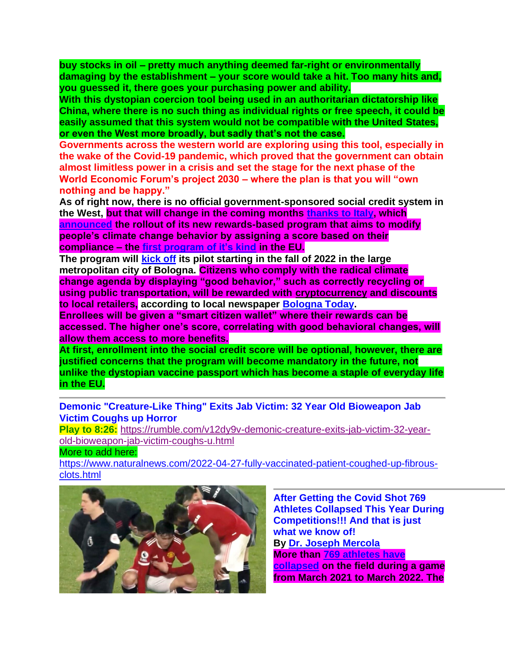**buy stocks in oil – pretty much anything deemed far-right or environmentally damaging by the establishment – your score would take a hit. Too many hits and, you guessed it, there goes your purchasing power and ability.**

**With this dystopian coercion tool being used in an authoritarian dictatorship like China, where there is no such thing as individual rights or free speech, it could be easily assumed that this system would not be compatible with the United States, or even the West more broadly, but sadly that's not the case.**

**Governments across the western world are exploring using this tool, especially in the wake of the Covid-19 pandemic, which proved that the government can obtain almost limitless power in a crisis and set the stage for the next phase of the World Economic Forum's project 2030 – where the plan is that you will "own nothing and be happy."**

**As of right now, there is no official government-sponsored social credit system in the West, but that will change in the coming months [thanks to Italy,](https://thenationalpulse.com/2022/04/22/a-social-credit-system-aimed-at-modifying-climate-change-behaviors-is-being-deployed-in-italy/) which [announced](https://www.bolognatoday.it/cronaca/piano-digitale-comune-bologna.html) the rollout of its new rewards-based program that aims to modify people's climate change behavior by assigning a score based on their compliance – the [first program of it's kind](https://thenationalpulse.com/2022/04/22/a-social-credit-system-aimed-at-modifying-climate-change-behaviors-is-being-deployed-in-italy/) in the EU.**

**The program will [kick off](https://www.bolognatoday.it/cronaca/piano-digitale-comune-bologna.html) its pilot starting in the fall of 2022 in the large metropolitan city of Bologna. Citizens who comply with the radical climate change agenda by displaying "good behavior," such as correctly recycling or using public transportation, will be rewarded with cryptocurrency and discounts to local retailers, according to local newspaper [Bologna Today.](https://www.bolognatoday.it/cronaca/piano-digitale-comune-bologna.html)**

**Enrollees will be given a "smart citizen wallet" where their rewards can be accessed. The higher one's score, correlating with good behavioral changes, will allow them access to more benefits.**

**At first, enrollment into the social credit score will be optional, however, there are justified concerns that the program will become mandatory in the future, not unlike the dystopian vaccine passport which has become a staple of everyday life in the EU.**

**Demonic "Creature-Like Thing" Exits Jab Victim: 32 Year Old Bioweapon Jab Victim Coughs up Horror**

**Play to 8:26:** [https://rumble.com/v12dy9v-demonic-creature-exits-jab-victim-32-year](https://rumble.com/v12dy9v-demonic-creature-exits-jab-victim-32-year-old-bioweapon-jab-victim-coughs-u.html)[old-bioweapon-jab-victim-coughs-u.html](https://rumble.com/v12dy9v-demonic-creature-exits-jab-victim-32-year-old-bioweapon-jab-victim-coughs-u.html)

More to add here:

[https://www.naturalnews.com/2022-04-27-fully-vaccinated-patient-coughed-up-fibrous](https://www.naturalnews.com/2022-04-27-fully-vaccinated-patient-coughed-up-fibrous-clots.html)[clots.html](https://www.naturalnews.com/2022-04-27-fully-vaccinated-patient-coughed-up-fibrous-clots.html)



**After Getting the Covid Shot 769 Athletes Collapsed This Year During Competitions!!! And that is just what we know of! By [Dr. Joseph Mercola](https://childrenshealthdefense.org/authors/dr-joseph-mercola/)  More than [769 athletes have](https://www.thegatewaypundit.com/2022/04/update-jaw-dropping-769-athletes-collapsed-competing-past-year-avg-age-players-suffering-cardiac-arrest-just-23-video/)  [collapsed](https://www.thegatewaypundit.com/2022/04/update-jaw-dropping-769-athletes-collapsed-competing-past-year-avg-age-players-suffering-cardiac-arrest-just-23-video/) on the field during a game from March 2021 to March 2022. The**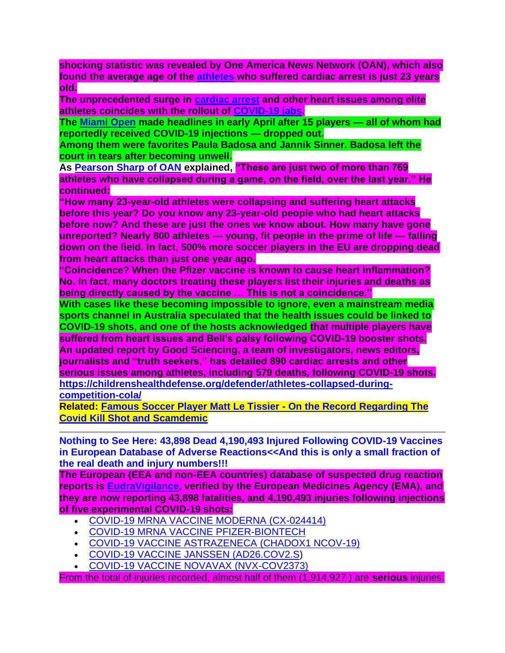**shocking statistic was revealed by One America News Network (OAN), which also found the average age of the [athletes](https://childrenshealthdefense.org/defender/chd-tv-rfk-jr-defender-kyle-dake-athletes-medical-freedom/) who suffered cardiac arrest is just 23 years old.**

**The unprecedented surge in [cardiac arrest](https://childrenshealthdefense.org/defender/cardiac-disorders-injuries-reported-covid-vaccines-vaers-data/) and other heart issues among elite athletes coincides with the rollout of [COVID-19 jabs.](https://childrenshealthdefense.org/defender/1-in-10-surveyed-doctors-covid-shots-arent-safe/)**

**The [Miami Open](https://needtoknow.news/2022/04/miami-open-carnage-15-fully-vaxxed-tennis-players-unable-to-finish-contests/) made headlines in early April after 15 players — all of whom had reportedly received COVID-19 injections — dropped out.**

**Among them were favorites Paula Badosa and Jannik Sinner. Badosa left the court in tears after becoming unwell.**

**As [Pearson Sharp of OAN](https://www.oann.com/hundreds-of-professional-athletes-collapsing-on-field-dying-from-mysterious-heart-complications/) explained, "These are just two of more than 769 athletes who have collapsed during a game, on the field, over the last year." He continued:**

**"How many 23-year-old athletes were collapsing and suffering heart attacks before this year? Do you know any 23-year-old people who had heart attacks before now? And these are just the ones we know about. How many have gone unreported? Nearly 800 athletes — young, fit people in the prime of life — falling down on the field. In fact, 500% more soccer players in the EU are dropping dead from heart attacks than just one year ago.**

**"Coincidence? When the Pfizer vaccine is known to cause heart inflammation? No. In fact, many doctors treating these players list their injuries and deaths as being directly caused by the vaccine … This is not a coincidence."**

**With cases like these becoming impossible to ignore, even a mainstream media sports channel in Australia speculated that the health issues could be linked to COVID-19 shots, and one of the hosts acknowledged that multiple players have suffered from heart issues and Bell's palsy following COVID-19 booster shots. An updated report by Good Sciencing, a team of investigators, news editors, journalists and "truth seekers," has detailed 890 cardiac arrests and other serious issues among athletes, including 579 deaths, following COVID-19 shots. [https://childrenshealthdefense.org/defender/athletes-collapsed-during-](https://childrenshealthdefense.org/defender/athletes-collapsed-during-competition-cola/)**

**[competition-cola/](https://childrenshealthdefense.org/defender/athletes-collapsed-during-competition-cola/)**

**Related: [Famous Soccer Player Matt Le Tissier -](https://rumble.com/vtsp9u-matt-le-tissier-on-the-record-oracle-films.html) On the Record Regarding The Covid [Kill Shot and Scamdemic](https://rumble.com/vtsp9u-matt-le-tissier-on-the-record-oracle-films.html)**

**Nothing to See Here: 43,898 Dead 4,190,493 Injured Following COVID-19 Vaccines in European Database of Adverse Reactions<<And this is only a small fraction of the real death and injury numbers!!!**

**The European (EEA and non-EEA countries) database of suspected drug reaction reports is [EudraVigilance,](http://www.adrreports.eu/en/index.html) verified by the European Medicines Agency (EMA), and they are now reporting 43,898 fatalities, and 4,190,493 injuries following injections of five experimental COVID-19 shots:**

- [COVID-19 MRNA VACCINE MODERNA \(CX-024414\)](https://dap.ema.europa.eu/analytics/saw.dll?PortalPages&PortalPath=%2Fshared%2FPHV%20DAP%2F_portal%2FDAP&Action=Navigate&P0=1&P1=eq&P2=%22Line%20Listing%20Objects%22.%22Substance%20High%20Level%20Code%22&P3=1+40983312)
- [COVID-19 MRNA VACCINE PFIZER-BIONTECH](https://dap.ema.europa.eu/analytics/saw.dll?PortalPages&PortalPath=%2Fshared%2FPHV%20DAP%2F_portal%2FDAP&Action=Navigate&P0=1&P1=eq&P2=%22Line%20Listing%20Objects%22.%22Substance%20High%20Level%20Code%22&P3=1+42325700)
- [COVID-19 VACCINE ASTRAZENECA \(CHADOX1 NCOV-19\)](https://dap.ema.europa.eu/analytics/saw.dll?PortalPages&PortalPath=%2Fshared%2FPHV%20DAP%2F_portal%2FDAP&Action=Navigate&P0=1&P1=eq&P2=%22Line%20Listing%20Objects%22.%22Substance%20High%20Level%20Code%22&P3=1+40995439)
- [COVID-19 VACCINE JANSSEN \(AD26.COV2.S\)](https://dap.ema.europa.eu/analyticsSOAP/saw.dll?PortalPages&PortalPath=%2Fshared%2FPHV%20DAP%2F_portal%2FDAP&Action=Navigate&P0=1&P1=eq&P2=%22Line%20Listing%20Objects%22.%22Substance%20High%20Level%20Code%22&P3=1+42287887)
- [COVID-19 VACCINE NOVAVAX \(NVX-COV2373\)](https://dap.ema.europa.eu/analyticsSOAP/saw.dll?PortalPages&PortalPath=%2Fshared%2FPHV%20DAP%2F_portal%2FDAP&Action=Navigate&P0=1&P1=eq&P2=%22Line%20Listing%20Objects%22.%22Substance%20High%20Level%20Code%22&P3=1+42287687)

From the total of injuries recorded, almost half of them (1,914,927 ) are **serious** injuries.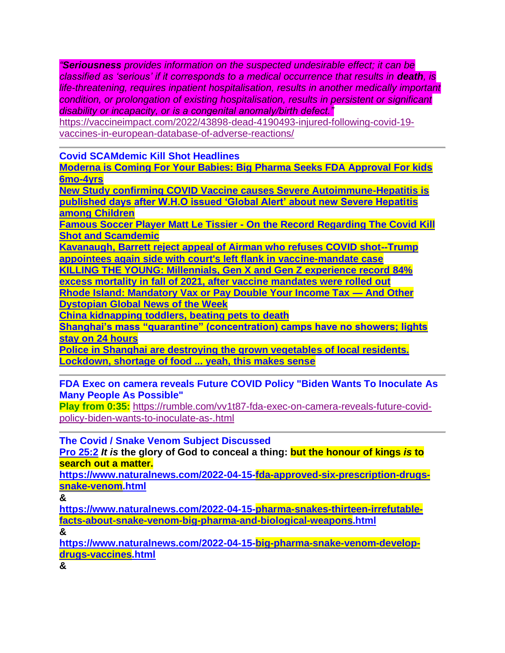*"Seriousness provides information on the suspected undesirable effect; it can be classified as 'serious' if it corresponds to a medical occurrence that results in death, is life-threatening, requires inpatient hospitalisation, results in another medically important condition, or prolongation of existing hospitalisation, results in persistent or significant disability or incapacity, or is a congenital anomaly/birth defect."*

[https://vaccineimpact.com/2022/43898-dead-4190493-injured-following-covid-19](https://vaccineimpact.com/2022/43898-dead-4190493-injured-following-covid-19-vaccines-in-european-database-of-adverse-reactions/) [vaccines-in-european-database-of-adverse-reactions/](https://vaccineimpact.com/2022/43898-dead-4190493-injured-following-covid-19-vaccines-in-european-database-of-adverse-reactions/)

**Covid SCAMdemic Kill Shot Headlines**

**[Moderna is Coming For Your Babies: Big Pharma Seeks FDA Approval For kids](https://rumble.com/v12yjom-moderna-is-coming-for-your-babies-big-pharma-seeks-fda-approval-for-kids-6m.html)  [6mo-4yrs](https://rumble.com/v12yjom-moderna-is-coming-for-your-babies-big-pharma-seeks-fda-approval-for-kids-6m.html)**

**[New Study confirming COVID Vaccine causes Severe Autoimmune-Hepatitis is](https://dailyexpose.uk/2022/04/28/new-study-confirms-covid-jab-causes-hepatitis-kids/)  [published days after W.H.O issued 'Global Alert' about new Severe Hepatitis](https://dailyexpose.uk/2022/04/28/new-study-confirms-covid-jab-causes-hepatitis-kids/)  [among Children](https://dailyexpose.uk/2022/04/28/new-study-confirms-covid-jab-causes-hepatitis-kids/)**

**[Famous Soccer Player Matt Le Tissier -](https://rumble.com/vtsp9u-matt-le-tissier-on-the-record-oracle-films.html) On the Record Regarding The Covid Kill [Shot and Scamdemic](https://rumble.com/vtsp9u-matt-le-tissier-on-the-record-oracle-films.html)**

**[Kavanaugh, Barrett reject appeal of Airman who refuses COVID shot--Trump](https://www.wnd.com/2022/04/kavanaugh-barrett-reject-appeal-airman-refuses-covid-shot/)  [appointees again side with court's left flank in vaccine-mandate case](https://www.wnd.com/2022/04/kavanaugh-barrett-reject-appeal-airman-refuses-covid-shot/)**

**[KILLING THE YOUNG: Millennials, Gen X and Gen Z experience record 84%](https://www.naturalnews.com/2022-04-21-millennials-experience-record-84-excess-mortality-vaccine-mandates.html)  [excess mortality in fall of 2021, after vaccine mandates were rolled out](https://www.naturalnews.com/2022-04-21-millennials-experience-record-84-excess-mortality-vaccine-mandates.html) [Rhode Island: Mandatory Vax or Pay Double Your Income Tax —](https://activistpost.us1.list-manage.com/track/click?u=3ac8bebe085f73ea3503bbda3&id=2ade3b901c&e=a6a82b817e) And Other [Dystopian Global News of the Week](https://activistpost.us1.list-manage.com/track/click?u=3ac8bebe085f73ea3503bbda3&id=2ade3b901c&e=a6a82b817e)**

**[China kidnapping toddlers, beating pets to death](https://outbreak.news/2022-04-13-china-slaughters-pets-part-of-zero-covid.html)**

**[Shanghai's mass "quarantine" \(concentration\) camps have no showers; lights](https://www.naturalnews.com/2022-04-19-shanghai-quarantine-camps-no-showers-lights-on.html)  [stay on 24 hours](https://www.naturalnews.com/2022-04-19-shanghai-quarantine-camps-no-showers-lights-on.html)**

**[Police in Shanghai are destroying the grown vegetables of local residents.](https://twitter.com/WallStreetSilv/status/1516194967080906760?cxt=HHwWkMC98cLSzYoqAAAA)  [Lockdown, shortage of food ... yeah, this makes sense](https://twitter.com/WallStreetSilv/status/1516194967080906760?cxt=HHwWkMC98cLSzYoqAAAA)**

**FDA Exec on camera reveals Future COVID Policy "Biden Wants To Inoculate As Many People As Possible"**

**Play from 0:35:** [https://rumble.com/vv1t87-fda-exec-on-camera-reveals-future-covid](https://rumble.com/vv1t87-fda-exec-on-camera-reveals-future-covid-policy-biden-wants-to-inoculate-as-.html)[policy-biden-wants-to-inoculate-as-.html](https://rumble.com/vv1t87-fda-exec-on-camera-reveals-future-covid-policy-biden-wants-to-inoculate-as-.html)

**The Covid / Snake Venom Subject Discussed**

**[Pro 25:2](https://www.blueletterbible.org/kjv/pro/25/2/s_653002)** *It is* **the glory of God to conceal a thing: but the honour of kings** *is* **to search out a matter.**

**[https://www.naturalnews.com/2022-04-15-fda-approved-six-prescription-drugs](https://www.naturalnews.com/2022-04-15-fda-approved-six-prescription-drugs-snake-venom.html)[snake-venom.html](https://www.naturalnews.com/2022-04-15-fda-approved-six-prescription-drugs-snake-venom.html)**

**&**

**[https://www.naturalnews.com/2022-04-15-pharma-snakes-thirteen-irrefutable](https://www.naturalnews.com/2022-04-15-pharma-snakes-thirteen-irrefutable-facts-about-snake-venom-big-pharma-and-biological-weapons.html)[facts-about-snake-venom-big-pharma-and-biological-weapons.html](https://www.naturalnews.com/2022-04-15-pharma-snakes-thirteen-irrefutable-facts-about-snake-venom-big-pharma-and-biological-weapons.html)**

**&**

**[https://www.naturalnews.com/2022-04-15-big-pharma-snake-venom-develop](https://www.naturalnews.com/2022-04-15-big-pharma-snake-venom-develop-drugs-vaccines.html)[drugs-vaccines.html](https://www.naturalnews.com/2022-04-15-big-pharma-snake-venom-develop-drugs-vaccines.html)**

**&**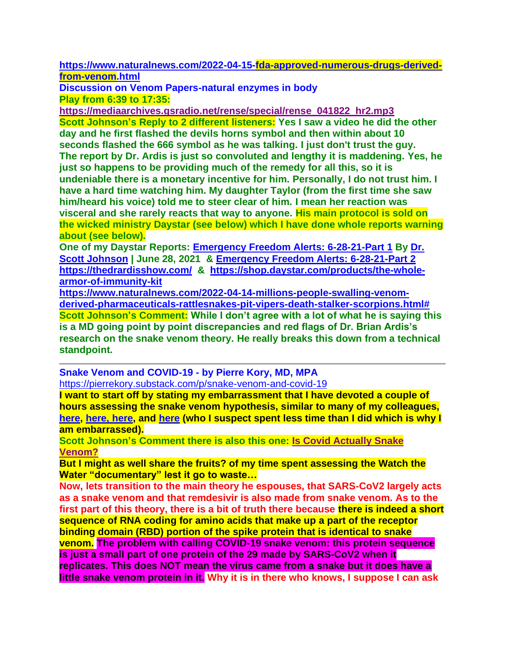**[https://www.naturalnews.com/2022-04-15-fda-approved-numerous-drugs-derived](https://www.naturalnews.com/2022-04-15-fda-approved-numerous-drugs-derived-from-venom.html)[from-venom.html](https://www.naturalnews.com/2022-04-15-fda-approved-numerous-drugs-derived-from-venom.html)**

**Discussion on Venom Papers-natural enzymes in body Play from 6:39 to 17:35:**

**[https://mediaarchives.gsradio.net/rense/special/rense\\_041822\\_hr2.mp3](https://mediaarchives.gsradio.net/rense/special/rense_041822_hr2.mp3) Scott Johnson's Reply to 2 different listeners: Yes I saw a video he did the other day and he first flashed the devils horns symbol and then within about 10 seconds flashed the 666 symbol as he was talking. I just don't trust the guy. The report by Dr. Ardis is just so convoluted and lengthy it is maddening. Yes, he just so happens to be providing much of the remedy for all this, so it is undeniable there is a monetary incentive for him. Personally, I do not trust him. I have a hard time watching him. My daughter Taylor (from the first time she saw him/heard his voice) told me to steer clear of him. I mean her reaction was visceral and she rarely reacts that way to anyone. His main protocol is sold on the wicked ministry Daystar (see below) which I have done whole reports warning about (see below).**

**One of my Daystar Reports: [Emergency Freedom Alerts: 6-28-21-Part 1](https://www.contendingfortruth.com/emergency-freedom-alerts-6-28-21-part-1/) By [Dr.](https://www.contendingfortruth.com/author/dr-scott-johnson/)  [Scott Johnson](https://www.contendingfortruth.com/author/dr-scott-johnson/) | June 28, 2021 & [Emergency Freedom Alerts: 6-28-21-Part 2](https://www.contendingfortruth.com/emergency-freedom-alerts-6-28-21-part-2/) <https://thedrardisshow.com/> & [https://shop.daystar.com/products/the-whole](https://shop.daystar.com/products/the-whole-armor-of-immunity-kit)[armor-of-immunity-kit](https://shop.daystar.com/products/the-whole-armor-of-immunity-kit)**

**[https://www.naturalnews.com/2022-04-14-millions-people-swalling-venom](https://www.naturalnews.com/2022-04-14-millions-people-swalling-venom-derived-pharmaceuticals-rattlesnakes-pit-vipers-death-stalker-scorpions.html)[derived-pharmaceuticals-rattlesnakes-pit-vipers-death-stalker-scorpions.html#](https://www.naturalnews.com/2022-04-14-millions-people-swalling-venom-derived-pharmaceuticals-rattlesnakes-pit-vipers-death-stalker-scorpions.html) Scott Johnson's Comment: While I don't agree with a lot of what he is saying this is a MD going point by point discrepancies and red flags of Dr. Brian Ardis's research on the snake venom theory. He really breaks this down from a technical standpoint.** 

**Snake Venom and COVID-19 - by Pierre Kory, MD, MPA** <https://pierrekory.substack.com/p/snake-venom-and-covid-19>

**I want to start off by stating my embarrassment that I have devoted a couple of hours assessing the snake venom hypothesis, similar to many of my colleagues, [here,](https://merylnass.substack.com/p/watch-the-water-with-a-grain-of-salt?utm_source=substack&utm_campaign=post_embed&utm_medium=web&s=r) [here,](https://stevekirsch.substack.com/p/what-i-think-of-the-bryan-ardis-video?token=eyJ1c2VyX2lkIjoxNDkzMjM5NSwicG9zdF9pZCI6NTIwNTQwMTUsIl8iOiJuU1d0ZiIsImlhdCI6MTY0OTk2MTQzNywiZXhwIjoxNjQ5OTY1MDM3LCJpc3MiOiJwdWItNTQ4MzU0Iiwic3ViIjoicG9zdC1yZWFjdGlvbiJ9.CKwWsI7ETPmyhyvzO56FwJ9ZF_IuK2SuHZYFlmC5A6I&s=r) [here,](https://roundingtheearth.substack.com/p/snake-bit-the-slytherin-hypothesis?s=r) and [here](https://www.youtube.com/watch?v=NjJeT1daDIE) (who I suspect spent less time than I did which is why I am embarrassed).** 

**Scott Johnson's Comment there is also this one: [Is Covid Actually Snake](https://www.youtube.com/watch?v=gRpyVPjFzf8)  [Venom?](https://www.youtube.com/watch?v=gRpyVPjFzf8)**

**But I might as well share the fruits? of my time spent assessing the Watch the Water "documentary" lest it go to waste…**

**Now, lets transition to the main theory he espouses, that SARS-CoV2 largely acts as a snake venom and that remdesivir is also made from snake venom. As to the first part of this theory, there is a bit of truth there because there is indeed a short sequence of RNA coding for amino acids that make up a part of the receptor binding domain (RBD) portion of the spike protein that is identical to snake venom. The problem with calling COVID-19 snake venom: this protein sequence is just a small part of one protein of the 29 made by SARS-CoV2 when it replicates. This does NOT mean the virus came from a snake but it does have a little snake venom protein in it. Why it is in there who knows, I suppose I can ask**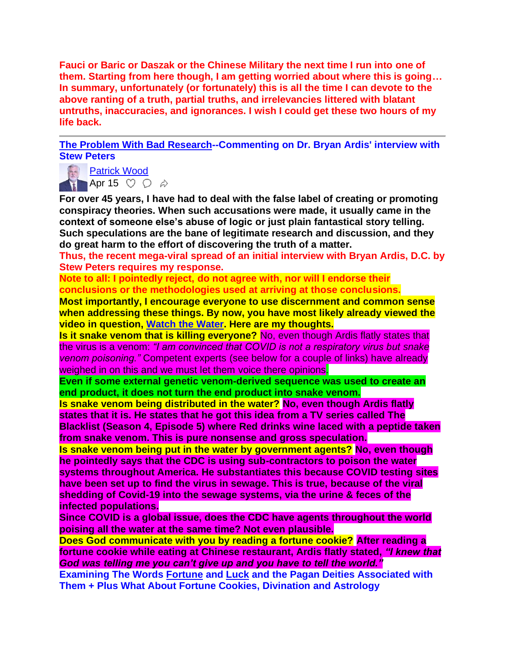**Fauci or Baric or Daszak or the Chinese Military the next time I run into one of them. Starting from here though, I am getting worried about where this is going… In summary, unfortunately (or fortunately) this is all the time I can devote to the above ranting of a truth, partial truths, and irrelevancies littered with blatant untruths, inaccuracies, and ignorances. I wish I could get these two hours of my life back.**

**[The Problem With Bad Research-](https://email.mg2.substack.com/c/eJxVkk2P4jAMhn8NvYGaj0I59AAD7HR3C5oRYmEuVZoYmqVNuklKJ_z6DcNlV7KdyJZt6X3MmYOLNj7rtHXRI5TOd5ApGGwDzoGJegumlCKj8xkiCJMofAVKkzSStjwbgJbJJnOmh6jrq0Zy5qRWj44ZRjglUZ0BmtIEJymZcsYRCA6cnDEDQhJMMdDnYtYLCYpDBjcwXiuImqx2rrMjshjhTbCOOSP5ddBaTGxfWcf4dcJ1-ygFdzWMO6OrBtrxIF09rpgYG7DADK9HZOP0FdSIrMB_Rxwf_BE31_y3jnd7_lnc177wg-Tf5nexmXcfL_l0u8_9bsWH4DZvm1qEXLE_oWK1QMX9RIuXQbLj9h5mSP56kD_33Bf7nBY-t7naopPMp7la3jh5c7w91Cfy3lWYyvPbhGz726tQu4bJxfK9KX9s-z9aHuFu0w_6Oazp-tAs88un_2UjmeEY45iiBMeIknhCJkFYfg7aUjEXVYrxiMbtBf-nSWSyRhthr1I8qlZ9JQOhMrxtr6TzJSgWxBJPeO55A184ywsoMOE2RMlchqZJHCdkmqIkmT1ZBboJxuksTmdR2Cp06FLZP3z-AuUazHc)-Commenting on Dr. Bryan Ardis' interview with Stew Peters**



**Fatrick Wood** Apr 15  $\heartsuit$   $\heartsuit$   $\phi$ 

**For over 45 years, I have had to deal with the false label of creating or promoting conspiracy theories. When such accusations were made, it usually came in the context of someone else's abuse of logic or just plain fantastical story telling. Such speculations are the bane of legitimate research and discussion, and they do great harm to the effort of discovering the truth of a matter.** 

**Thus, the recent mega-viral spread of an initial interview with Bryan Ardis, D.C. by Stew Peters requires my response.**

**Note to all: I pointedly reject, do not agree with, nor will I endorse their conclusions or the methodologies used at arriving at those conclusions.**

**Most importantly, I encourage everyone to use discernment and common sense when addressing these things. By now, you have most likely already viewed the video in question, [Watch the Water.](https://email.mg2.substack.com/c/eJwlkMnO6yAMhZ-m7BoxhEAXLP7NfY2IwW1QCUTgtMrbX9JIyHiQdT4fbxFepR5mKw3JGWY8NjAZvi0BIlSyN6hzDGZ8KCYYF6SngWmpSWzzswKsNiaDdQey7S5FbzGWfG4ozrgWZDFB0IdTQjqmtdXOTe7JXVCOi5EpP4VL2O4hQvZg4AP1KBlIMgvi1m7i78b_9Vf31SUYfFl78WF07Zj3FD9w_5aawn2rsEaovbTolzsuvwzqsOCaSDScck5HJjllo6CDGDqgf3bGMTyC05zfRrq--NB219D696lEqkmlhvaO4Zy2_Gv2S-f-r3uOeMyQbecKlwl4efmzZX5BhtoRwmzRsElSKsWkmZTqurm7JDnXimpFumoofSubzWKN_v0tJfwH2QGNag) Here are my thoughts.**

**Is it snake venom that is killing everyone?** No, even though Ardis flatly states that the virus is a venom: *"I am convinced that COVID is not a respiratory virus but snake venom poisoning."* Competent experts (see below for a couple of links) have already weighed in on this and we must let them voice there opinions.

**Even if some external genetic venom-derived sequence was used to create an end product, it does not turn the end product into snake venom.**

**Is snake venom being distributed in the water? No, even though Ardis flatly states that it is. He states that he got this idea from a TV series called The Blacklist (Season 4, Episode 5) where Red drinks wine laced with a peptide taken from snake venom. This is pure nonsense and gross speculation.**

**Is snake venom being put in the water by government agents? No, even though he pointedly says that the CDC is using sub-contractors to poison the water systems throughout America. He substantiates this because COVID testing sites have been set up to find the virus in sewage. This is true, because of the viral shedding of Covid-19 into the sewage systems, via the urine & feces of the infected populations.**

**Since COVID is a global issue, does the CDC have agents throughout the world poising all the water at the same time? Not even plausible.**

**Does God communicate with you by reading a fortune cookie? After reading a fortune cookie while eating at Chinese restaurant, Ardis flatly stated,** *"I knew that God was telling me you can't give up and you have to tell the world."*

**Examining The Words Fortune and Luck and the Pagan Deities Associated with Them + Plus What About Fortune Cookies, Divination and Astrology**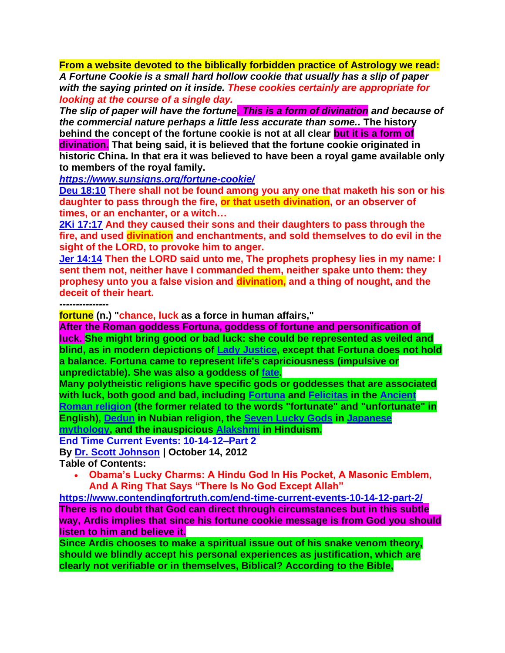**From a website devoted to the biblically forbidden practice of Astrology we read:** *A Fortune Cookie is a small hard hollow cookie that usually has a slip of paper with the saying printed on it inside. These cookies certainly are appropriate for looking at the course of a single day.*

*The slip of paper will have the fortune. This is a form of divination and because of the commercial nature perhaps a little less accurate than some..* **The history behind the concept of the fortune cookie is not at all clear but it is a form of divination. That being said, it is believed that the fortune cookie originated in historic China. In that era it was believed to have been a royal game available only to members of the royal family.**

*<https://www.sunsigns.org/fortune-cookie/>*

**[Deu 18:10](https://www.blueletterbible.org/kjv/deu/18/10/s_171010) There shall not be found among you any one that maketh his son or his daughter to pass through the fire, or that useth divination, or an observer of times, or an enchanter, or a witch…**

**[2Ki 17:17](https://www.blueletterbible.org/kjv/2ki/17/17/s_330017) And they caused their sons and their daughters to pass through the fire, and used divination and enchantments, and sold themselves to do evil in the sight of the LORD, to provoke him to anger.**

**[Jer 14:14](https://www.blueletterbible.org/kjv/jer/14/14/s_759014) Then the LORD said unto me, The prophets prophesy lies in my name: I sent them not, neither have I commanded them, neither spake unto them: they prophesy unto you a false vision and divination, and a thing of nought, and the deceit of their heart.**

*---------------*

**fortune (n.) "chance, luck as a force in human affairs,"** 

**After the Roman goddess Fortuna, goddess of fortune and personification of luck. She might bring good or bad luck: she could be represented as veiled and blind, as in modern depictions of [Lady Justice,](https://en.wikipedia.org/wiki/Lady_Justice) except that Fortuna does not hold a balance. Fortuna came to represent life's capriciousness (impulsive or unpredictable). She was also a goddess of [fate.](https://en.wikipedia.org/wiki/Destiny)** 

**Many polytheistic religions have specific gods or goddesses that are associated with luck, both good and bad, including [Fortuna](https://en.wikipedia.org/wiki/Fortuna) and [Felicitas](https://en.wikipedia.org/wiki/Felicitas) in the [Ancient](https://en.wikipedia.org/wiki/Ancient_Roman_religion)  [Roman religion](https://en.wikipedia.org/wiki/Ancient_Roman_religion) (the former related to the words "fortunate" and "unfortunate" in English), [Dedun](https://en.wikipedia.org/wiki/Dedun) in Nubian religion, the [Seven Lucky Gods](https://en.wikipedia.org/wiki/Seven_Lucky_Gods) in [Japanese](https://en.wikipedia.org/wiki/Japanese_mythology)** 

**[mythology,](https://en.wikipedia.org/wiki/Japanese_mythology) and the inauspicious [Alakshmi](https://en.wikipedia.org/wiki/Alakshmi) in Hinduism.**

**End Time Current Events: 10-14-12–Part 2** 

**By [Dr. Scott Johnson](https://www.contendingfortruth.com/author/dr-scott-johnson/) | October 14, 2012 Table of Contents:**

• **Obama's Lucky Charms: A Hindu God In His Pocket, A Masonic Emblem, And A Ring That Says "There Is No God Except Allah"**

**<https://www.contendingfortruth.com/end-time-current-events-10-14-12-part-2/> There is no doubt that God can direct through circumstances but in this subtle way, Ardis implies that since his fortune cookie message is from God you should listen to him and believe it.**

**Since Ardis chooses to make a spiritual issue out of his snake venom theory, should we blindly accept his personal experiences as justification, which are clearly not verifiable or in themselves, Biblical? According to the Bible,**